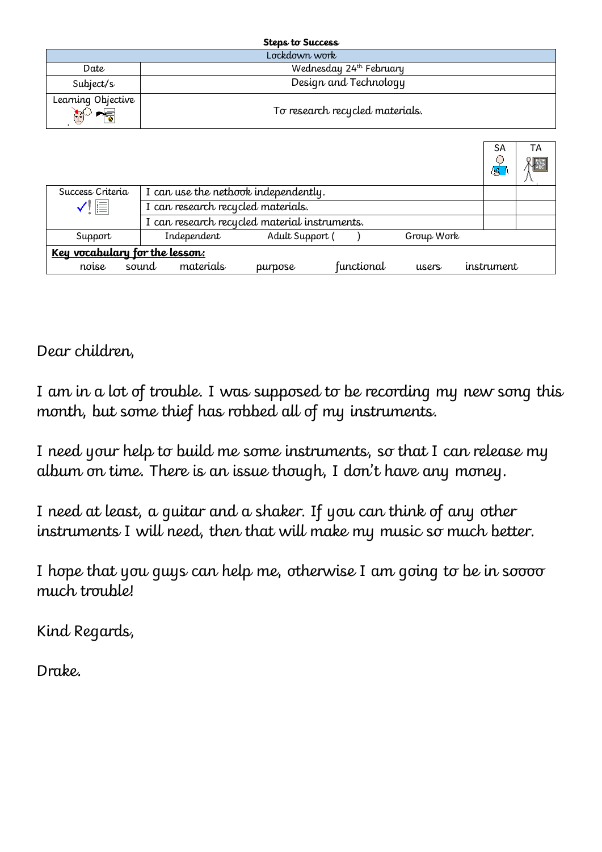|                                    | Steps to Success                |                        |
|------------------------------------|---------------------------------|------------------------|
|                                    | Lockdown work                   |                        |
| Date                               | Wednesday 24th February         |                        |
| Subject/s                          | Design and Technology           |                        |
| Learning Objective<br>$\mathbb{C}$ | To research recycled materials. |                        |
|                                    |                                 | <b>SA</b><br>TA<br>۵ß, |

| Success Criteria               | I can use the netbook independently.          |             |                 |            |            |            |  |  |  |
|--------------------------------|-----------------------------------------------|-------------|-----------------|------------|------------|------------|--|--|--|
| $\checkmark$ iii               | I can research recycled materials.            |             |                 |            |            |            |  |  |  |
|                                | I can research recycled material instruments. |             |                 |            |            |            |  |  |  |
| Support                        |                                               | Independent | Adult Support ( |            | Group Work |            |  |  |  |
| Key vocabulary for the lesson: |                                               |             |                 |            |            |            |  |  |  |
| noise                          | sound                                         | materials   | purpose         | functional | users      | instrument |  |  |  |

Dear children,

I am in a lot of trouble. I was supposed to be recording my new song this month, but some thief has robbed all of my instruments.

I need your help to build me some instruments, so that I can release my album on time. There is an issue though, I don't have any money.

I need at least, a guitar and a shaker. If you can think of any other instruments I will need, then that will make my music so much better.

I hope that you guys can help me, otherwise I am going to be in soooo much trouble!

Kind Regards,

Drake.